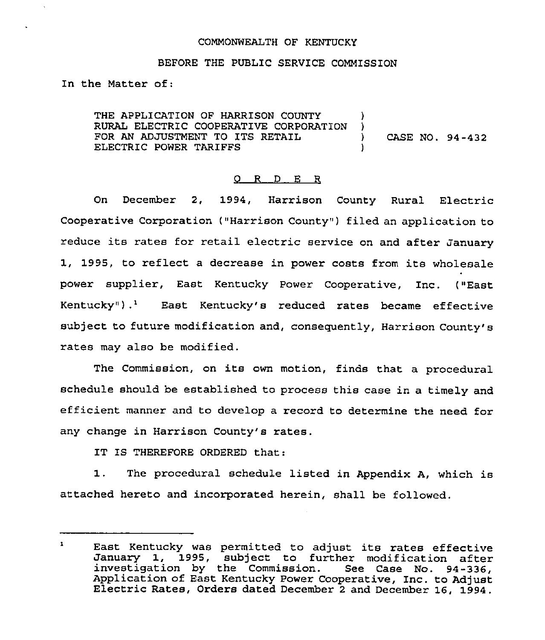### COMMONWEALTH OF KENTUCKY

#### BEFORE THE PUBLIC SERVICE COMMISSION

In the Matter of:

THE APPLICATION OF HARRISON COUNTY )<br>RURAL ELECTRIC COOPERATIVE CORPORATION ) RURAL ELECTRIC COOPERATIVE CORPORATION )<br>FOR AN ADJUSTMENT TO ITS RETAIL ) FOR AN ADJUSTMENT TO ITS RETAIL  $\qquad$  (ASE NO. 94-432) ELECTRIC POWER TARIFFS

#### 0 R <sup>D</sup> E R

On December 2, 1994, Harrison County Rural Electric Cooperative Corporation ("Harrison County" ) filed an application to reduce its rates for retail electric service on and after January 1, 1995, to reflect <sup>a</sup> decrease in power costs from its wholesale power supplier, East Kentucky Power Cooperative, Inc. ("East Kentucky").<sup>1</sup> East Kentucky's reduced rates became effective subject to future modification and, consequently, Harrison County's rates may also be modified.

The Commission, on its own motion, finds that <sup>a</sup> procedural schedule should be established to process this case in a timely and efficient manner and to develop a record to determine the need for any change in Harrison County's rates.

IT IS THEREFORE ORDERED that:

1. The procedural schedule listed in Appendix A, which is attached hereto and incorporated herein, shall be followed.

 $\mathbf{1}$ East Kentucky was permitted to adjust its rates effective January 1, 1995, subject to further modification after investigation by the Commission. See Case No. 94-336, Application of East Kentucky Power Cooperative, Inc. to Adjust Electric Rates, Orders dated December <sup>2</sup> and December 16, 1994.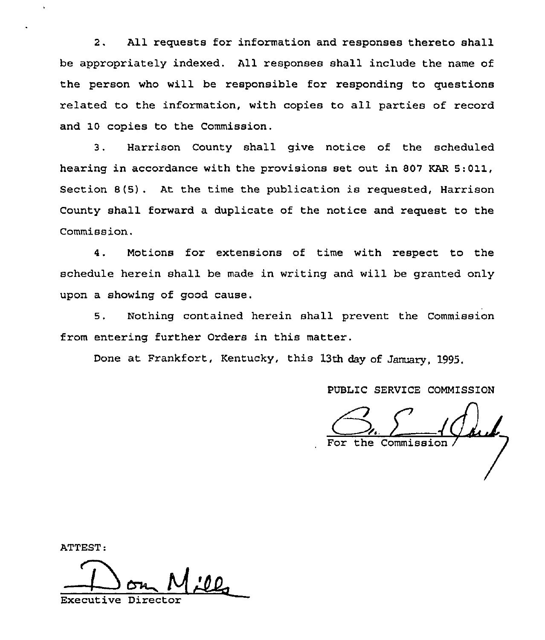2. All requests for information and responses thereto shall be appropriately indexed. All responses shall include the name of the person who will be responsible for responding to questions related to the information, with copies to all parties of record and 10 copies to the Commission.

3. Harrison County shall give notice of the scheduled hearing in accordance with the provisions set out in 807 KAR 5:011, Section 8(5) . At the time the publication is requested, Harrison County shall forward a duplicate of the notice and request to the Commission.

4. Motions for extensions of time with respect to the schedule herein shall be made in writing and will be granted only upon a showing of good cause.

5. Nothing contained herein shall prevent the Commission from entering further Orders in this matter.

Done at Frankfort, Kentucky, this 13th day of January, 1995.

PUBLIC SERVICE COMMISSION

the Commiss

ATTEST:

Executive Director